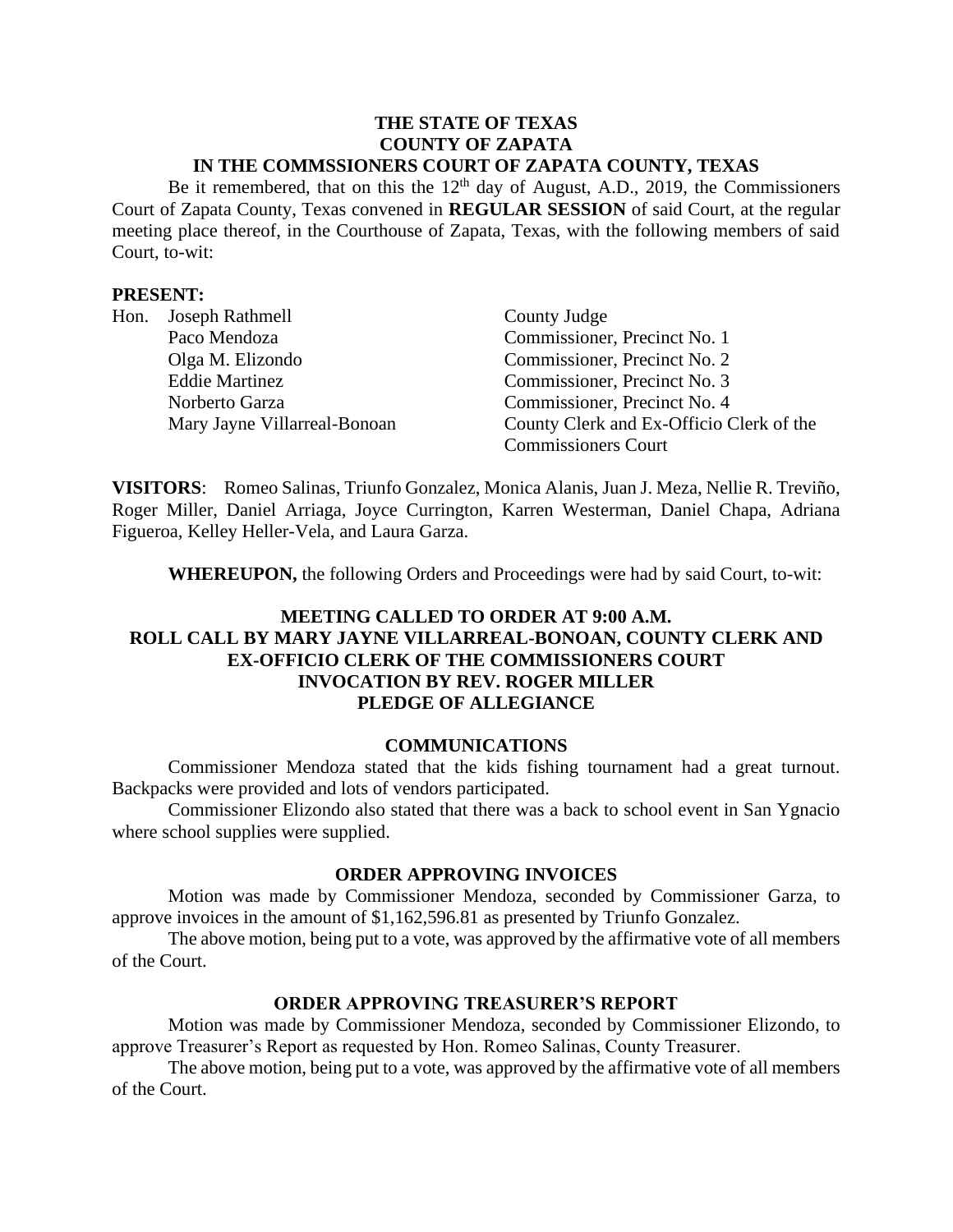#### **THE STATE OF TEXAS COUNTY OF ZAPATA IN THE COMMSSIONERS COURT OF ZAPATA COUNTY, TEXAS**

Be it remembered, that on this the  $12<sup>th</sup>$  day of August, A.D., 2019, the Commissioners Court of Zapata County, Texas convened in **REGULAR SESSION** of said Court, at the regular meeting place thereof, in the Courthouse of Zapata, Texas, with the following members of said Court, to-wit:

### **PRESENT:**

| Hon. | Joseph Rathmell              | County Judge                             |
|------|------------------------------|------------------------------------------|
|      | Paco Mendoza                 | Commissioner, Precinct No. 1             |
|      | Olga M. Elizondo             | Commissioner, Precinct No. 2             |
|      | <b>Eddie Martinez</b>        | Commissioner, Precinct No. 3             |
|      | Norberto Garza               | Commissioner, Precinct No. 4             |
|      | Mary Jayne Villarreal-Bonoan | County Clerk and Ex-Officio Clerk of the |
|      |                              | <b>Commissioners Court</b>               |

**VISITORS**: Romeo Salinas, Triunfo Gonzalez, Monica Alanis, Juan J. Meza, Nellie R. Treviño, Roger Miller, Daniel Arriaga, Joyce Currington, Karren Westerman, Daniel Chapa, Adriana Figueroa, Kelley Heller-Vela, and Laura Garza.

**WHEREUPON,** the following Orders and Proceedings were had by said Court, to-wit:

# **MEETING CALLED TO ORDER AT 9:00 A.M. ROLL CALL BY MARY JAYNE VILLARREAL-BONOAN, COUNTY CLERK AND EX-OFFICIO CLERK OF THE COMMISSIONERS COURT INVOCATION BY REV. ROGER MILLER PLEDGE OF ALLEGIANCE**

#### **COMMUNICATIONS**

Commissioner Mendoza stated that the kids fishing tournament had a great turnout. Backpacks were provided and lots of vendors participated.

Commissioner Elizondo also stated that there was a back to school event in San Ygnacio where school supplies were supplied.

### **ORDER APPROVING INVOICES**

Motion was made by Commissioner Mendoza, seconded by Commissioner Garza, to approve invoices in the amount of \$1,162,596.81 as presented by Triunfo Gonzalez.

The above motion, being put to a vote, was approved by the affirmative vote of all members of the Court.

### **ORDER APPROVING TREASURER'S REPORT**

Motion was made by Commissioner Mendoza, seconded by Commissioner Elizondo, to approve Treasurer's Report as requested by Hon. Romeo Salinas, County Treasurer.

The above motion, being put to a vote, was approved by the affirmative vote of all members of the Court.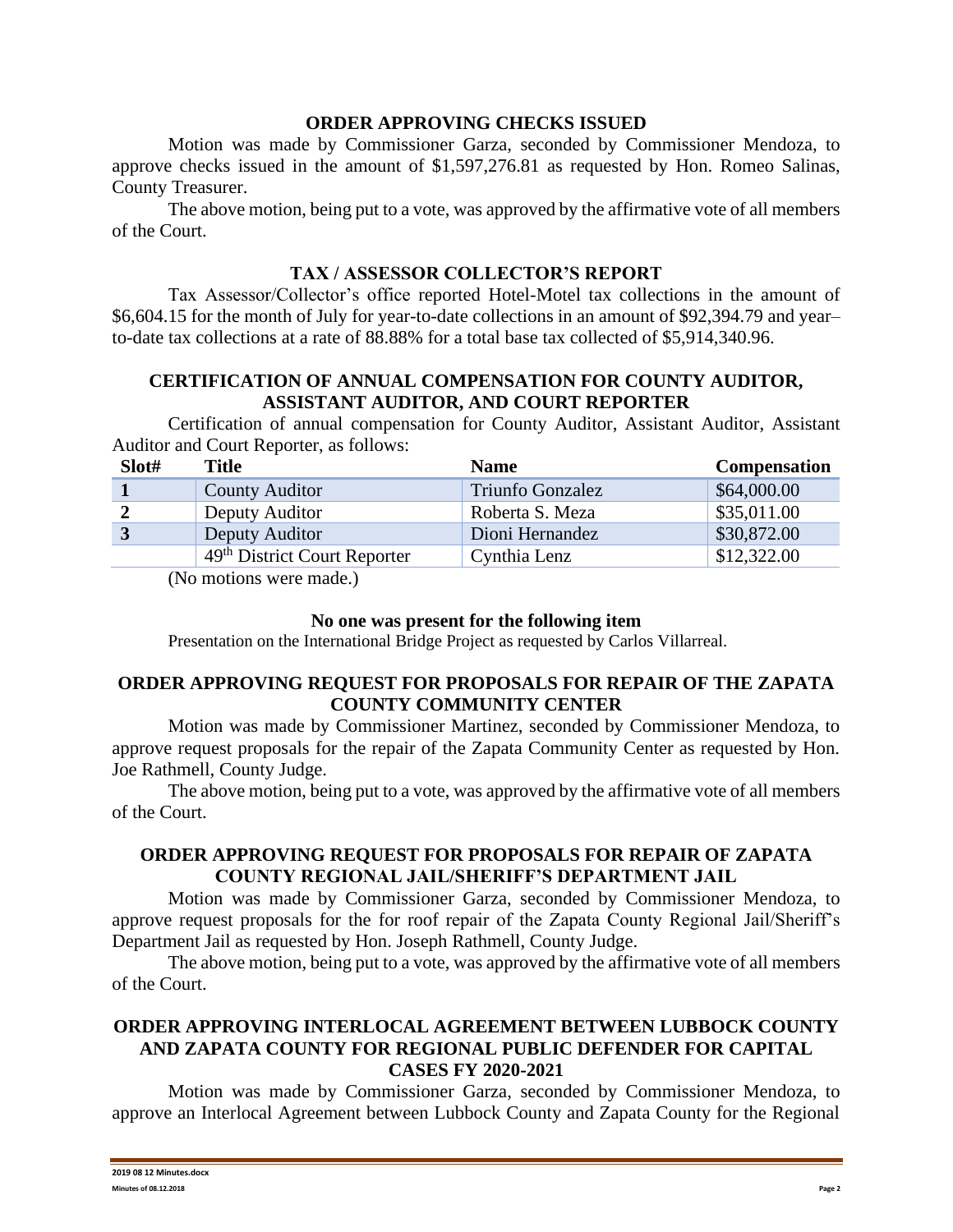### **ORDER APPROVING CHECKS ISSUED**

Motion was made by Commissioner Garza, seconded by Commissioner Mendoza, to approve checks issued in the amount of \$1,597,276.81 as requested by Hon. Romeo Salinas, County Treasurer.

The above motion, being put to a vote, was approved by the affirmative vote of all members of the Court.

### **TAX / ASSESSOR COLLECTOR'S REPORT**

Tax Assessor/Collector's office reported Hotel-Motel tax collections in the amount of \$6,604.15 for the month of July for year-to-date collections in an amount of \$92,394.79 and year– to-date tax collections at a rate of 88.88% for a total base tax collected of \$5,914,340.96.

# **CERTIFICATION OF ANNUAL COMPENSATION FOR COUNTY AUDITOR, ASSISTANT AUDITOR, AND COURT REPORTER**

Certification of annual compensation for County Auditor, Assistant Auditor, Assistant Auditor and Court Reporter, as follows:

| Slot# | Title                                    | <b>Name</b>             | <b>Compensation</b> |
|-------|------------------------------------------|-------------------------|---------------------|
|       | <b>County Auditor</b>                    | <b>Triunfo Gonzalez</b> | \$64,000.00         |
|       | Deputy Auditor                           | Roberta S. Meza         | \$35,011.00         |
|       | Deputy Auditor                           | Dioni Hernandez         | \$30,872.00         |
|       | 49 <sup>th</sup> District Court Reporter | Cynthia Lenz            | \$12,322.00         |

(No motions were made.)

#### **No one was present for the following item**

Presentation on the International Bridge Project as requested by Carlos Villarreal.

## **ORDER APPROVING REQUEST FOR PROPOSALS FOR REPAIR OF THE ZAPATA COUNTY COMMUNITY CENTER**

Motion was made by Commissioner Martinez, seconded by Commissioner Mendoza, to approve request proposals for the repair of the Zapata Community Center as requested by Hon. Joe Rathmell, County Judge.

The above motion, being put to a vote, was approved by the affirmative vote of all members of the Court.

## **ORDER APPROVING REQUEST FOR PROPOSALS FOR REPAIR OF ZAPATA COUNTY REGIONAL JAIL/SHERIFF'S DEPARTMENT JAIL**

Motion was made by Commissioner Garza, seconded by Commissioner Mendoza, to approve request proposals for the for roof repair of the Zapata County Regional Jail/Sheriff's Department Jail as requested by Hon. Joseph Rathmell, County Judge.

The above motion, being put to a vote, was approved by the affirmative vote of all members of the Court.

### **ORDER APPROVING INTERLOCAL AGREEMENT BETWEEN LUBBOCK COUNTY AND ZAPATA COUNTY FOR REGIONAL PUBLIC DEFENDER FOR CAPITAL CASES FY 2020-2021**

Motion was made by Commissioner Garza, seconded by Commissioner Mendoza, to approve an Interlocal Agreement between Lubbock County and Zapata County for the Regional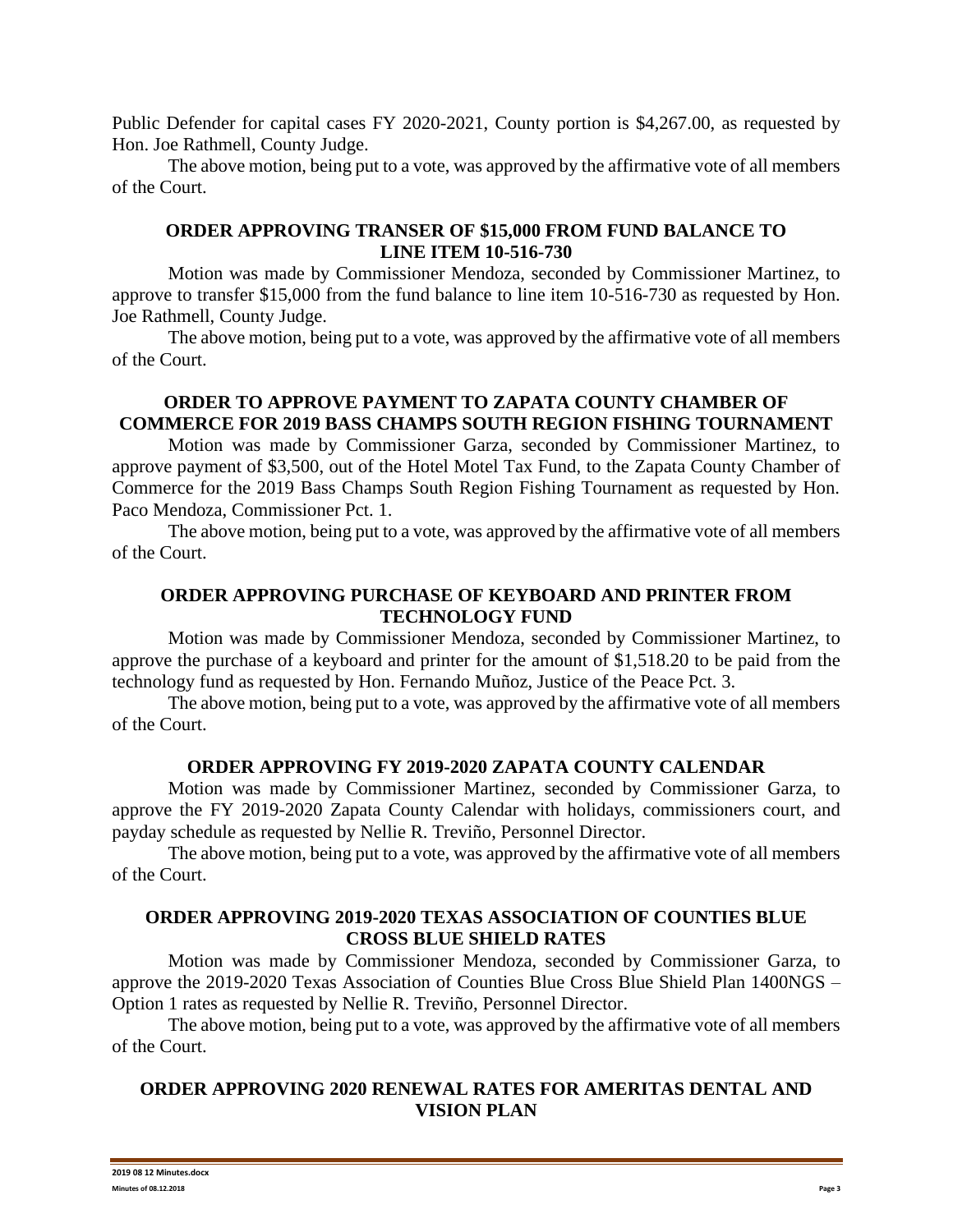Public Defender for capital cases FY 2020-2021, County portion is \$4,267.00, as requested by Hon. Joe Rathmell, County Judge.

The above motion, being put to a vote, was approved by the affirmative vote of all members of the Court.

## **ORDER APPROVING TRANSER OF \$15,000 FROM FUND BALANCE TO LINE ITEM 10-516-730**

Motion was made by Commissioner Mendoza, seconded by Commissioner Martinez, to approve to transfer \$15,000 from the fund balance to line item 10-516-730 as requested by Hon. Joe Rathmell, County Judge.

The above motion, being put to a vote, was approved by the affirmative vote of all members of the Court.

## **ORDER TO APPROVE PAYMENT TO ZAPATA COUNTY CHAMBER OF COMMERCE FOR 2019 BASS CHAMPS SOUTH REGION FISHING TOURNAMENT**

Motion was made by Commissioner Garza, seconded by Commissioner Martinez, to approve payment of \$3,500, out of the Hotel Motel Tax Fund, to the Zapata County Chamber of Commerce for the 2019 Bass Champs South Region Fishing Tournament as requested by Hon. Paco Mendoza, Commissioner Pct. 1.

The above motion, being put to a vote, was approved by the affirmative vote of all members of the Court.

## **ORDER APPROVING PURCHASE OF KEYBOARD AND PRINTER FROM TECHNOLOGY FUND**

Motion was made by Commissioner Mendoza, seconded by Commissioner Martinez, to approve the purchase of a keyboard and printer for the amount of \$1,518.20 to be paid from the technology fund as requested by Hon. Fernando Muñoz, Justice of the Peace Pct. 3.

The above motion, being put to a vote, was approved by the affirmative vote of all members of the Court.

### **ORDER APPROVING FY 2019-2020 ZAPATA COUNTY CALENDAR**

Motion was made by Commissioner Martinez, seconded by Commissioner Garza, to approve the FY 2019-2020 Zapata County Calendar with holidays, commissioners court, and payday schedule as requested by Nellie R. Treviño, Personnel Director.

The above motion, being put to a vote, was approved by the affirmative vote of all members of the Court.

## **ORDER APPROVING 2019-2020 TEXAS ASSOCIATION OF COUNTIES BLUE CROSS BLUE SHIELD RATES**

Motion was made by Commissioner Mendoza, seconded by Commissioner Garza, to approve the 2019-2020 Texas Association of Counties Blue Cross Blue Shield Plan 1400NGS – Option 1 rates as requested by Nellie R. Treviño, Personnel Director.

The above motion, being put to a vote, was approved by the affirmative vote of all members of the Court.

# **ORDER APPROVING 2020 RENEWAL RATES FOR AMERITAS DENTAL AND VISION PLAN**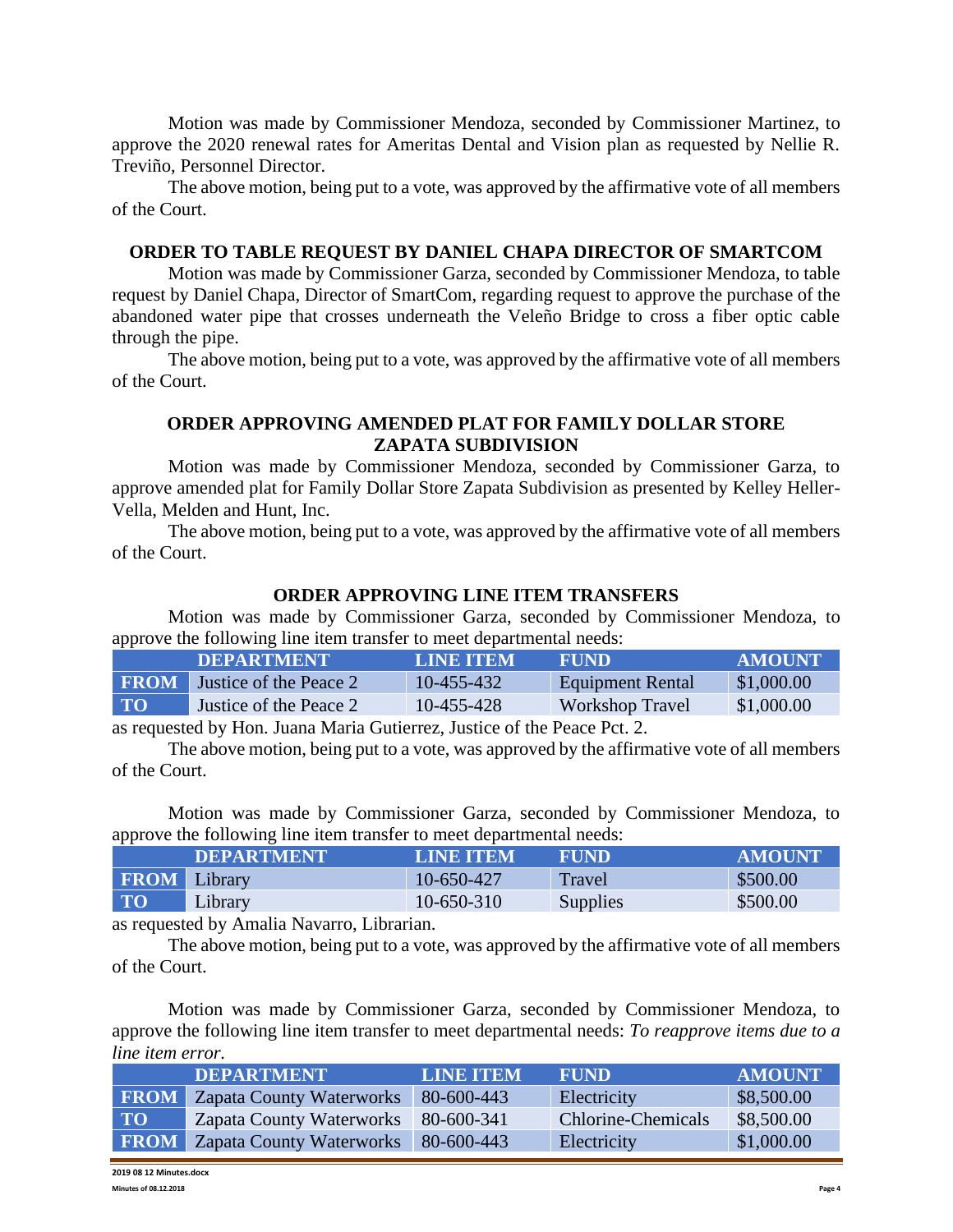Motion was made by Commissioner Mendoza, seconded by Commissioner Martinez, to approve the 2020 renewal rates for Ameritas Dental and Vision plan as requested by Nellie R. Treviño, Personnel Director.

The above motion, being put to a vote, was approved by the affirmative vote of all members of the Court.

#### **ORDER TO TABLE REQUEST BY DANIEL CHAPA DIRECTOR OF SMARTCOM**

Motion was made by Commissioner Garza, seconded by Commissioner Mendoza, to table request by Daniel Chapa, Director of SmartCom, regarding request to approve the purchase of the abandoned water pipe that crosses underneath the Veleño Bridge to cross a fiber optic cable through the pipe.

The above motion, being put to a vote, was approved by the affirmative vote of all members of the Court.

### **ORDER APPROVING AMENDED PLAT FOR FAMILY DOLLAR STORE ZAPATA SUBDIVISION**

Motion was made by Commissioner Mendoza, seconded by Commissioner Garza, to approve amended plat for Family Dollar Store Zapata Subdivision as presented by Kelley Heller-Vella, Melden and Hunt, Inc.

The above motion, being put to a vote, was approved by the affirmative vote of all members of the Court.

#### **ORDER APPROVING LINE ITEM TRANSFERS**

Motion was made by Commissioner Garza, seconded by Commissioner Mendoza, to approve the following line item transfer to meet departmental needs:

|                 | <b>IDEPARTMENT !</b>                                                                                                                                                                                                                                                                                                                                                                                                                                                                       | <b>LINE ITEM</b> | <b>FUND</b>             | <b>AMOUNT</b> |
|-----------------|--------------------------------------------------------------------------------------------------------------------------------------------------------------------------------------------------------------------------------------------------------------------------------------------------------------------------------------------------------------------------------------------------------------------------------------------------------------------------------------------|------------------|-------------------------|---------------|
|                 | <b>FROM</b> Justice of the Peace 2                                                                                                                                                                                                                                                                                                                                                                                                                                                         | 10-455-432       | <b>Equipment Rental</b> | \$1,000.00    |
| TO <sup>1</sup> | Justice of the Peace 2                                                                                                                                                                                                                                                                                                                                                                                                                                                                     | 10-455-428       | Workshop Travel         | \$1,000.00    |
|                 | $\blacksquare$ $\blacksquare$ $\blacksquare$ $\blacksquare$ $\blacksquare$ $\blacksquare$ $\blacksquare$ $\blacksquare$ $\blacksquare$ $\blacksquare$ $\blacksquare$ $\blacksquare$ $\blacksquare$ $\blacksquare$ $\blacksquare$ $\blacksquare$ $\blacksquare$ $\blacksquare$ $\blacksquare$ $\blacksquare$ $\blacksquare$ $\blacksquare$ $\blacksquare$ $\blacksquare$ $\blacksquare$ $\blacksquare$ $\blacksquare$ $\blacksquare$ $\blacksquare$ $\blacksquare$ $\blacksquare$ $\blacks$ |                  |                         |               |

as requested by Hon. Juana Maria Gutierrez, Justice of the Peace Pct. 2.

The above motion, being put to a vote, was approved by the affirmative vote of all members of the Court.

Motion was made by Commissioner Garza, seconded by Commissioner Mendoza, to approve the following line item transfer to meet departmental needs:

|                     | <b>DEPARTMENT</b> | <b>LINE ITEM</b> | <b>FUND</b> | <b>AMOUNT</b> |
|---------------------|-------------------|------------------|-------------|---------------|
| <b>FROM</b> Library |                   | 10-650-427       | Travel      | \$500.00      |
| <b>TO</b>           | Library           | 10-650-310       | Supplies    | \$500.00      |

as requested by Amalia Navarro, Librarian.

The above motion, being put to a vote, was approved by the affirmative vote of all members of the Court.

Motion was made by Commissioner Garza, seconded by Commissioner Mendoza, to approve the following line item transfer to meet departmental needs: *To reapprove items due to a line item error.*

|             | <b>DEPARTMENT</b>               | <b>LINE ITEM</b> | <b>FUND</b>        | <b>AMOUNT</b> |
|-------------|---------------------------------|------------------|--------------------|---------------|
| <b>FROM</b> | Zapata County Waterworks        | 80-600-443       | Electricity        | \$8,500.00    |
| <b>TO</b>   | <b>Zapata County Waterworks</b> | 80-600-341       | Chlorine-Chemicals | \$8,500.00    |
| <b>FROM</b> | <b>Zapata County Waterworks</b> | 80-600-443       | Electricity        | \$1,000.00    |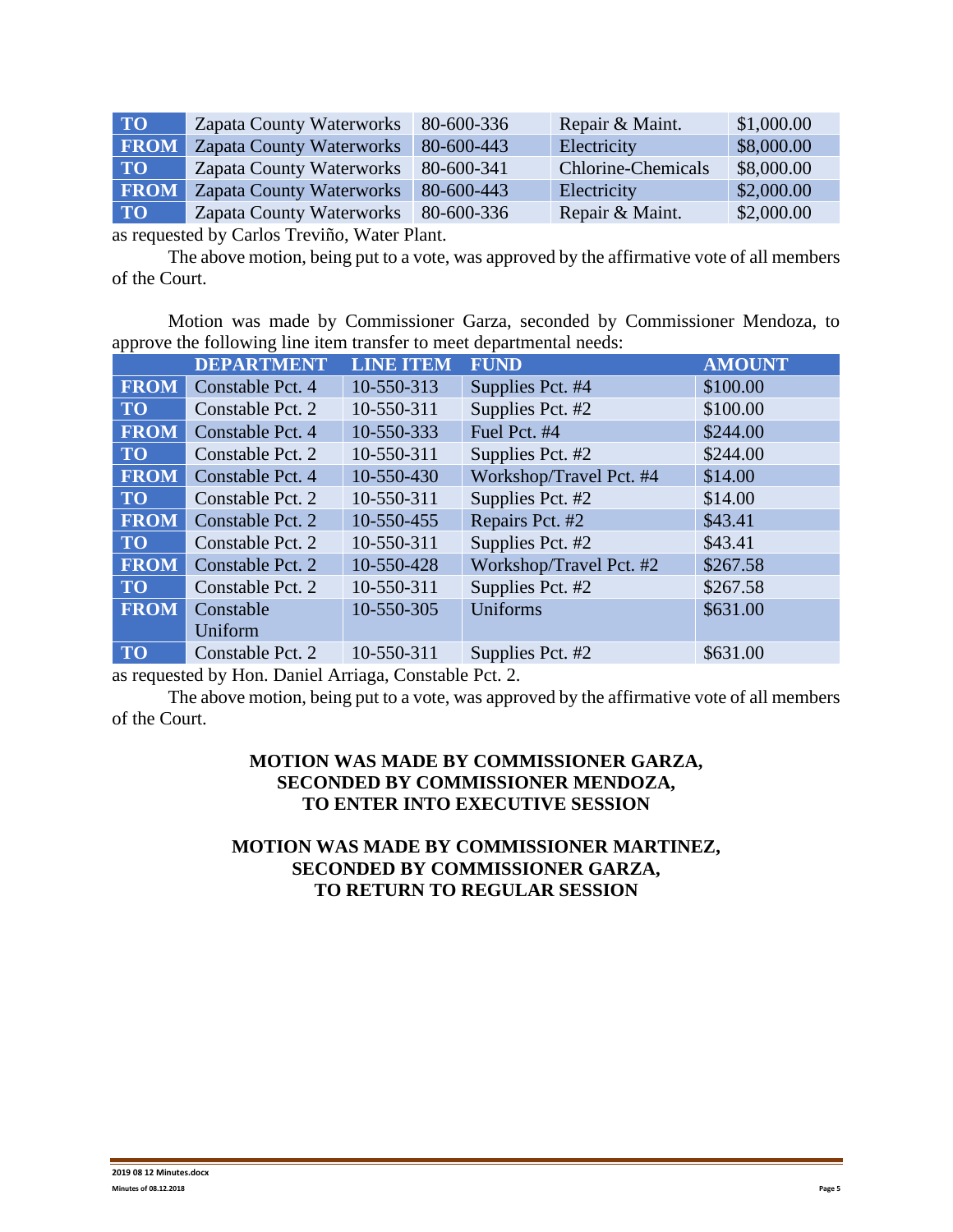| TO T        | <b>Zapata County Waterworks</b> | 80-600-336 | Repair & Maint.           | \$1,000.00 |
|-------------|---------------------------------|------------|---------------------------|------------|
| <b>FROM</b> | <b>Zapata County Waterworks</b> | 80-600-443 | Electricity               | \$8,000.00 |
| <b>TO</b>   | <b>Zapata County Waterworks</b> | 80-600-341 | <b>Chlorine-Chemicals</b> | \$8,000.00 |
| <b>FROM</b> | <b>Zapata County Waterworks</b> | 80-600-443 | Electricity               | \$2,000.00 |
| TO T        | <b>Zapata County Waterworks</b> | 80-600-336 | Repair & Maint.           | \$2,000.00 |

as requested by Carlos Treviño, Water Plant.

The above motion, being put to a vote, was approved by the affirmative vote of all members of the Court.

Motion was made by Commissioner Garza, seconded by Commissioner Mendoza, to approve the following line item transfer to meet departmental needs:

|             | <b>DEPARTMENT</b> | <b>LINE ITEM</b> | <b>FUND</b>             | <b>AMOUNT</b> |
|-------------|-------------------|------------------|-------------------------|---------------|
| <b>FROM</b> | Constable Pct. 4  | 10-550-313       | Supplies Pct. #4        | \$100.00      |
| <b>TO</b>   | Constable Pct. 2  | 10-550-311       | Supplies Pct. #2        | \$100.00      |
| <b>FROM</b> | Constable Pct. 4  | 10-550-333       | Fuel Pct. #4            | \$244.00      |
| <b>TO</b>   | Constable Pct. 2  | 10-550-311       | Supplies Pct. #2        | \$244.00      |
| <b>FROM</b> | Constable Pct. 4  | 10-550-430       | Workshop/Travel Pct. #4 | \$14.00       |
| <b>TO</b>   | Constable Pct. 2  | 10-550-311       | Supplies Pct. #2        | \$14.00       |
| <b>FROM</b> | Constable Pct. 2  | 10-550-455       | Repairs Pct. #2         | \$43.41       |
| <b>TO</b>   | Constable Pct. 2  | 10-550-311       | Supplies Pct. #2        | \$43.41       |
| <b>FROM</b> | Constable Pct. 2  | 10-550-428       | Workshop/Travel Pct. #2 | \$267.58      |
| <b>TO</b>   | Constable Pct. 2  | 10-550-311       | Supplies Pct. #2        | \$267.58      |
| <b>FROM</b> | Constable         | 10-550-305       | Uniforms                | \$631.00      |
|             | Uniform           |                  |                         |               |
| <b>TO</b>   | Constable Pct. 2  | 10-550-311       | Supplies Pct. #2        | \$631.00      |

as requested by Hon. Daniel Arriaga, Constable Pct. 2.

The above motion, being put to a vote, was approved by the affirmative vote of all members of the Court.

# **MOTION WAS MADE BY COMMISSIONER GARZA, SECONDED BY COMMISSIONER MENDOZA, TO ENTER INTO EXECUTIVE SESSION**

# **MOTION WAS MADE BY COMMISSIONER MARTINEZ, SECONDED BY COMMISSIONER GARZA, TO RETURN TO REGULAR SESSION**